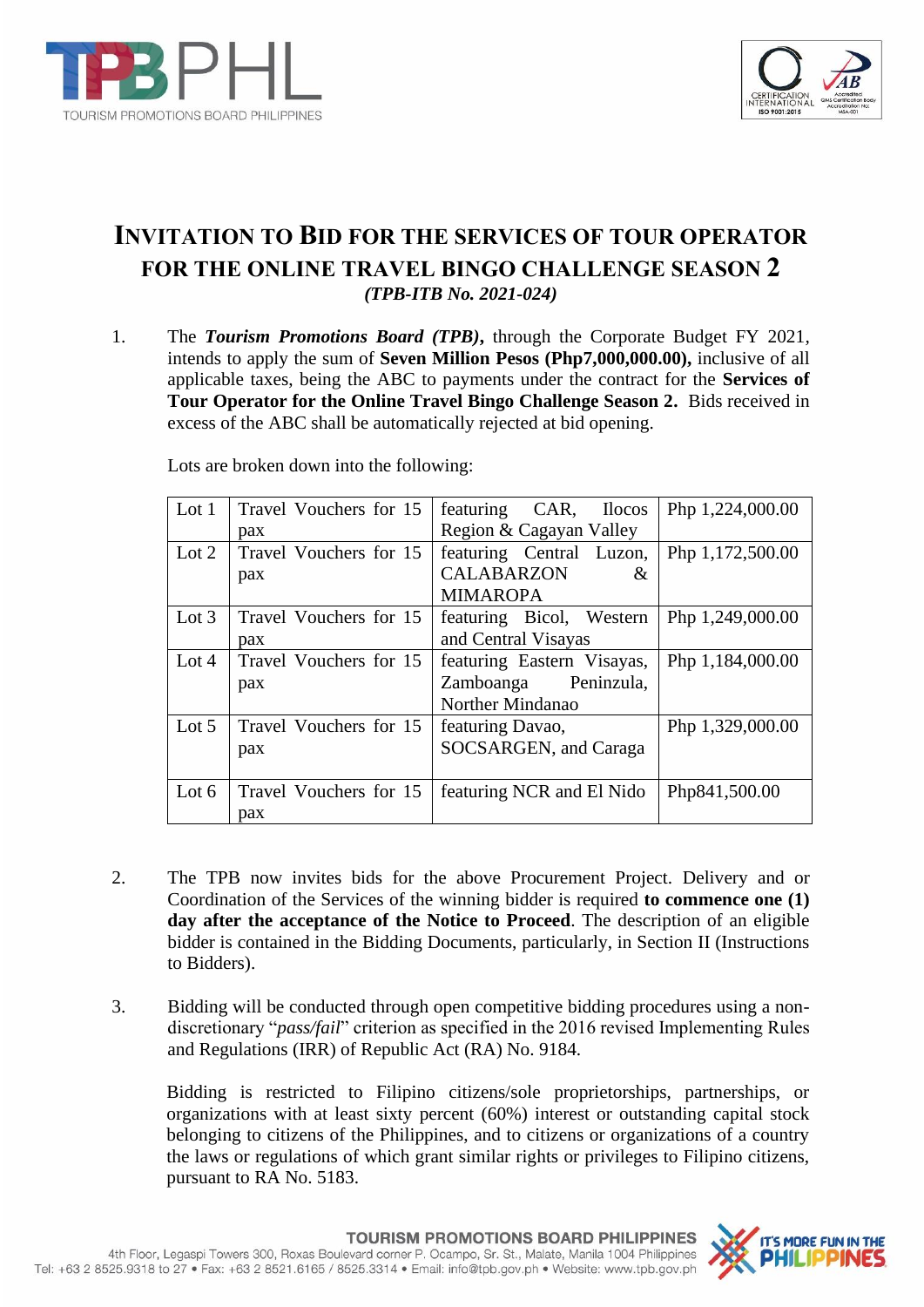



# **INVITATION TO BID FOR THE SERVICES OF TOUR OPERATOR FOR THE ONLINE TRAVEL BINGO CHALLENGE SEASON 2** *(TPB-ITB No. 2021-024)*

1. The *Tourism Promotions Board (TPB)***,** through the Corporate Budget FY 2021*,*  intends to apply the sum of **Seven Million Pesos (Php7,000,000.00),** inclusive of all applicable taxes, being the ABC to payments under the contract for the **Services of Tour Operator for the Online Travel Bingo Challenge Season 2.** Bids received in excess of the ABC shall be automatically rejected at bid opening.

| Lot $1$ | Travel Vouchers for 15 | featuring<br>CAR,<br><b>Ilocos</b> | Php 1,224,000.00 |
|---------|------------------------|------------------------------------|------------------|
|         | pax                    | Region & Cagayan Valley            |                  |
| Lot $2$ | Travel Vouchers for 15 | featuring Central Luzon,           | Php 1,172,500.00 |
|         | pax                    | <b>CALABARZON</b><br>&             |                  |
|         |                        | <b>MIMAROPA</b>                    |                  |
| Lot $3$ | Travel Vouchers for 15 | featuring Bicol, Western           | Php 1,249,000.00 |
|         | pax                    | and Central Visayas                |                  |
| Lot $4$ | Travel Vouchers for 15 | featuring Eastern Visayas,         | Php 1,184,000.00 |
|         | pax                    | Zamboanga Peninzula,               |                  |
|         |                        | Norther Mindanao                   |                  |
| Lot $5$ | Travel Vouchers for 15 | featuring Davao,                   | Php 1,329,000.00 |
|         | pax                    | SOCSARGEN, and Caraga              |                  |
|         |                        |                                    |                  |
| Lot $6$ | Travel Vouchers for 15 | featuring NCR and El Nido          | Php841,500.00    |
|         | pax                    |                                    |                  |

Lots are broken down into the following:

- 2. The TPB now invites bids for the above Procurement Project. Delivery and or Coordination of the Services of the winning bidder is required **to commence one (1) day after the acceptance of the Notice to Proceed**. The description of an eligible bidder is contained in the Bidding Documents, particularly, in Section II (Instructions to Bidders).
- 3. Bidding will be conducted through open competitive bidding procedures using a nondiscretionary "*pass/fail*" criterion as specified in the 2016 revised Implementing Rules and Regulations (IRR) of Republic Act (RA) No. 9184.

Bidding is restricted to Filipino citizens/sole proprietorships, partnerships, or organizations with at least sixty percent (60%) interest or outstanding capital stock belonging to citizens of the Philippines, and to citizens or organizations of a country the laws or regulations of which grant similar rights or privileges to Filipino citizens, pursuant to RA No. 5183.

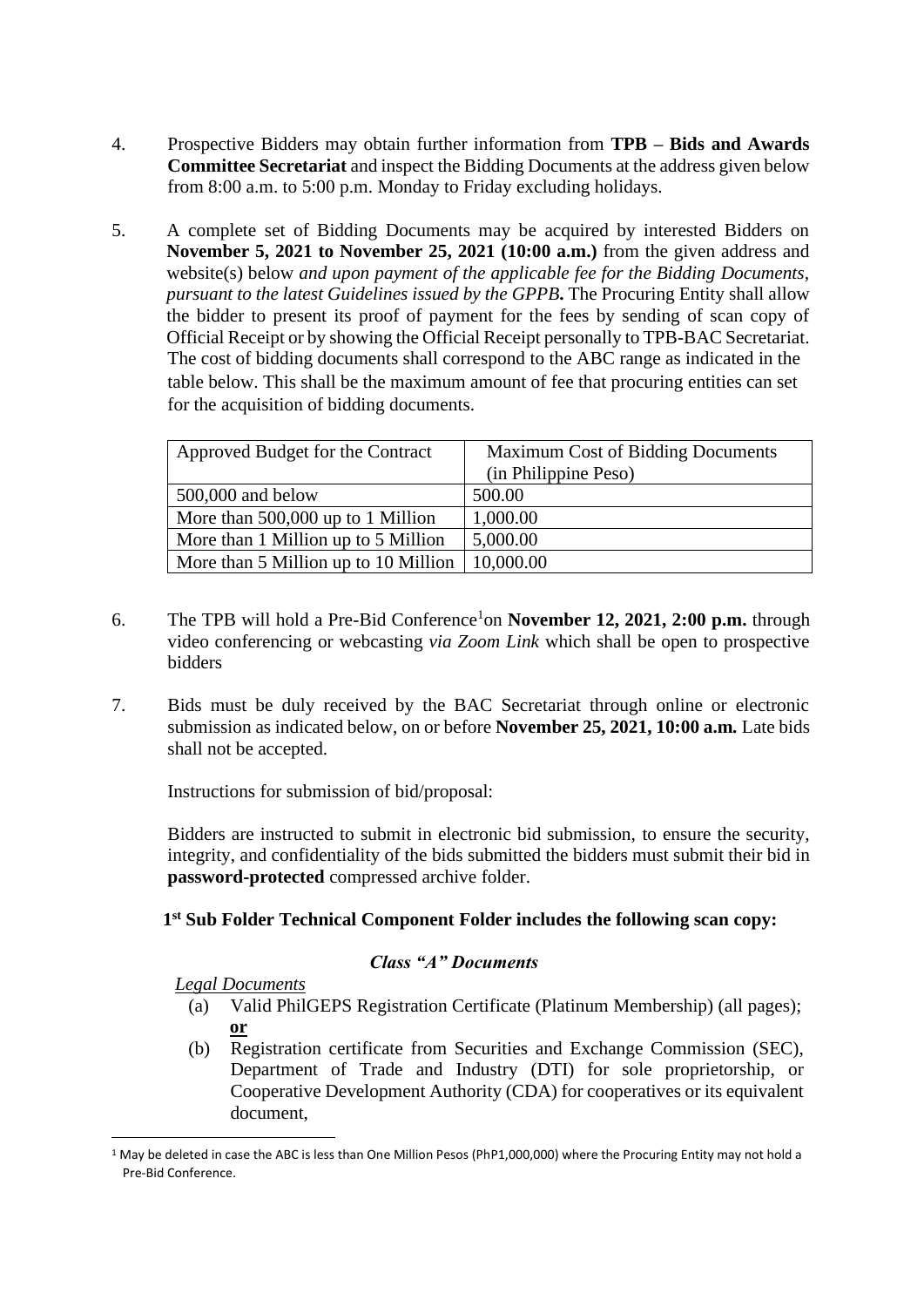- 4. Prospective Bidders may obtain further information from **TPB – Bids and Awards Committee Secretariat** and inspect the Bidding Documents at the address given below from 8:00 a.m. to 5:00 p.m. Monday to Friday excluding holidays.
- 5. A complete set of Bidding Documents may be acquired by interested Bidders on **November 5, 2021 to November 25, 2021 (10:00 a.m.)** from the given address and website(s) below *and upon payment of the applicable fee for the Bidding Documents, pursuant to the latest Guidelines issued by the GPPB***.** The Procuring Entity shall allow the bidder to present its proof of payment for the fees by sending of scan copy of Official Receipt or by showing the Official Receipt personally to TPB-BAC Secretariat. The cost of bidding documents shall correspond to the ABC range as indicated in the table below. This shall be the maximum amount of fee that procuring entities can set for the acquisition of bidding documents.

| Approved Budget for the Contract     | <b>Maximum Cost of Bidding Documents</b> |  |
|--------------------------------------|------------------------------------------|--|
|                                      | (in Philippine Peso)                     |  |
| $500,000$ and below                  | 500.00                                   |  |
| More than 500,000 up to 1 Million    | 1,000.00                                 |  |
| More than 1 Million up to 5 Million  | 5,000.00                                 |  |
| More than 5 Million up to 10 Million | 10,000.00                                |  |

- 6. The TPB will hold a Pre-Bid Conference<sup>1</sup>on **November 12, 2021, 2:00 p.m.** through video conferencing or webcasting *via Zoom Link* which shall be open to prospective bidders
- 7. Bids must be duly received by the BAC Secretariat through online or electronic submission as indicated below, on or before **November 25, 2021, 10:00 a.m***.* Late bids shall not be accepted.

Instructions for submission of bid/proposal:

Bidders are instructed to submit in electronic bid submission, to ensure the security, integrity, and confidentiality of the bids submitted the bidders must submit their bid in **password-protected** compressed archive folder.

# **1 st Sub Folder Technical Component Folder includes the following scan copy:**

### *Class "A" Documents*

### *Legal Documents*

- (a) Valid PhilGEPS Registration Certificate (Platinum Membership) (all pages); **or**
- (b) Registration certificate from Securities and Exchange Commission (SEC), Department of Trade and Industry (DTI) for sole proprietorship, or Cooperative Development Authority (CDA) for cooperatives or its equivalent document,

<sup>&</sup>lt;sup>1</sup> May be deleted in case the ABC is less than One Million Pesos (PhP1,000,000) where the Procuring Entity may not hold a Pre-Bid Conference.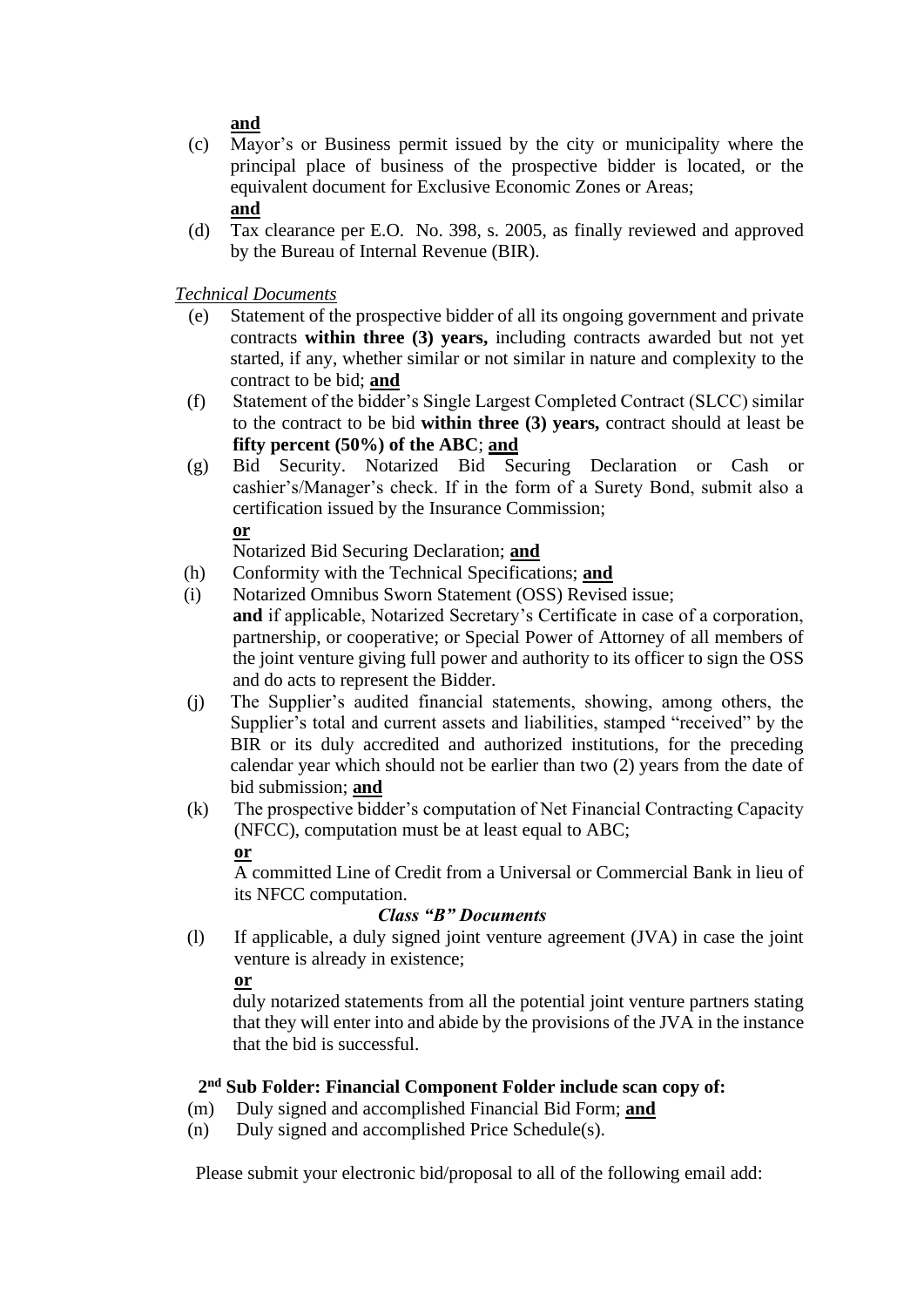**and**

- (c) Mayor's or Business permit issued by the city or municipality where the principal place of business of the prospective bidder is located, or the equivalent document for Exclusive Economic Zones or Areas; **and**
- (d) Tax clearance per E.O. No. 398, s. 2005, as finally reviewed and approved by the Bureau of Internal Revenue (BIR).

*Technical Documents*

- (e) Statement of the prospective bidder of all its ongoing government and private contracts **within three (3) years,** including contracts awarded but not yet started, if any, whether similar or not similar in nature and complexity to the contract to be bid; **and**
- (f) Statement of the bidder's Single Largest Completed Contract (SLCC) similar to the contract to be bid **within three (3) years,** contract should at least be **fifty percent (50%) of the ABC**; **and**
- (g) Bid Security. Notarized Bid Securing Declaration or Cash or cashier's/Manager's check. If in the form of a Surety Bond, submit also a certification issued by the Insurance Commission;

**or**

Notarized Bid Securing Declaration; **and**

- (h) Conformity with the Technical Specifications; **and**
- (i) Notarized Omnibus Sworn Statement (OSS) Revised issue; **and** if applicable, Notarized Secretary's Certificate in case of a corporation, partnership, or cooperative; or Special Power of Attorney of all members of the joint venture giving full power and authority to its officer to sign the OSS and do acts to represent the Bidder.
- (j) The Supplier's audited financial statements, showing, among others, the Supplier's total and current assets and liabilities, stamped "received" by the BIR or its duly accredited and authorized institutions, for the preceding calendar year which should not be earlier than two (2) years from the date of bid submission; **and**
- (k) The prospective bidder's computation of Net Financial Contracting Capacity (NFCC), computation must be at least equal to ABC;

# **or**

A committed Line of Credit from a Universal or Commercial Bank in lieu of its NFCC computation.

# *Class "B" Documents*

(l) If applicable, a duly signed joint venture agreement (JVA) in case the joint venture is already in existence;

**or** 

duly notarized statements from all the potential joint venture partners stating that they will enter into and abide by the provisions of the JVA in the instance that the bid is successful.

# **2 nd Sub Folder: Financial Component Folder include scan copy of:**

- (m) Duly signed and accomplished Financial Bid Form; **and**
- (n) Duly signed and accomplished Price Schedule(s).

Please submit your electronic bid/proposal to all of the following email add: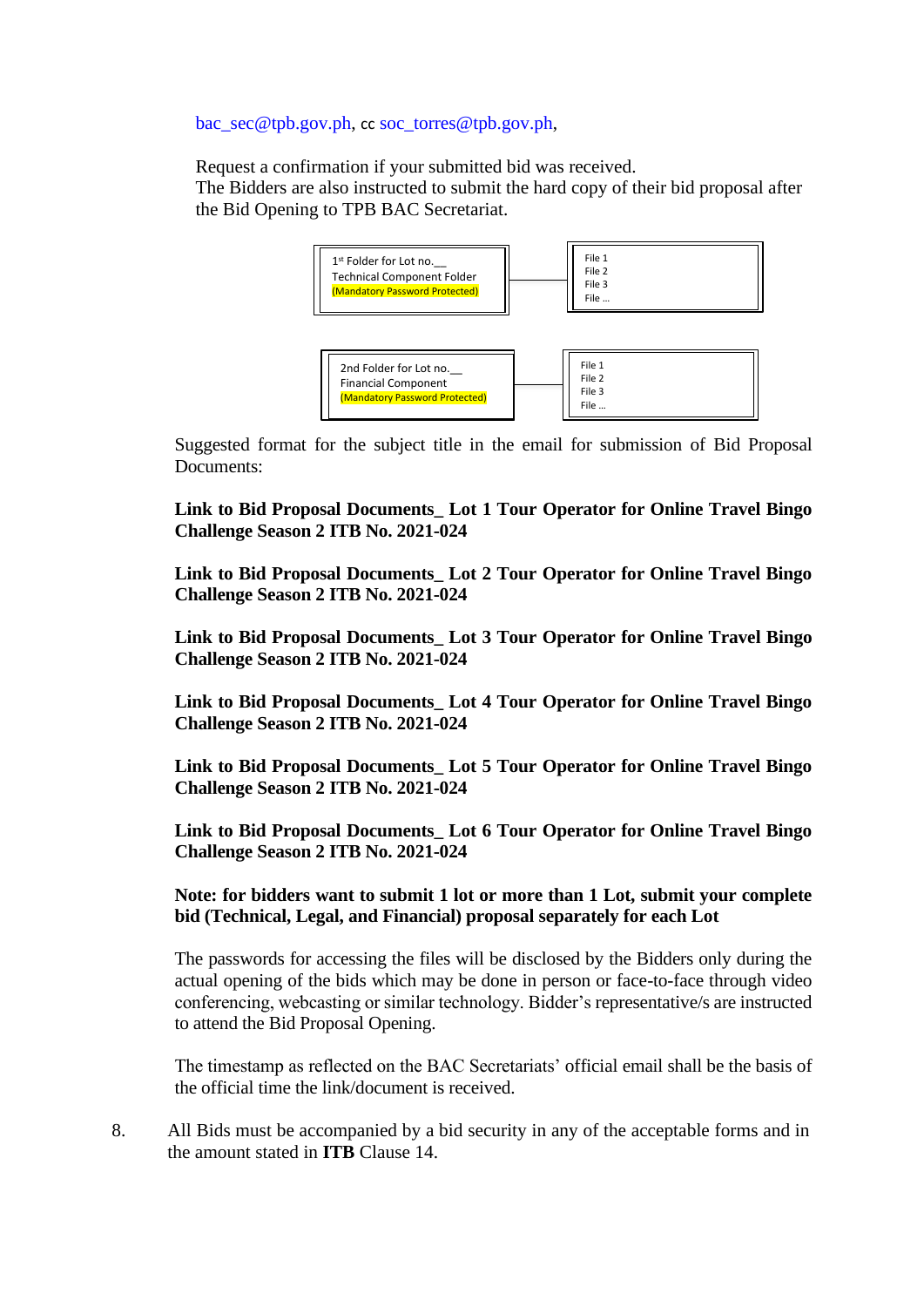[bac\\_sec@tpb.gov.ph,](mailto:bac_sec@tpb.gov.ph) cc [soc\\_torres@tpb.gov.ph,](mailto:soc_torres@tpb.gov.ph)

Request a confirmation if your submitted bid was received.

The Bidders are also instructed to submit the hard copy of their bid proposal after the Bid Opening to TPB BAC Secretariat.



Suggested format for the subject title in the email for submission of Bid Proposal Documents:

**Link to Bid Proposal Documents\_ Lot 1 Tour Operator for Online Travel Bingo Challenge Season 2 ITB No. 2021-024**

**Link to Bid Proposal Documents\_ Lot 2 Tour Operator for Online Travel Bingo Challenge Season 2 ITB No. 2021-024**

**Link to Bid Proposal Documents\_ Lot 3 Tour Operator for Online Travel Bingo Challenge Season 2 ITB No. 2021-024**

**Link to Bid Proposal Documents\_ Lot 4 Tour Operator for Online Travel Bingo Challenge Season 2 ITB No. 2021-024**

**Link to Bid Proposal Documents\_ Lot 5 Tour Operator for Online Travel Bingo Challenge Season 2 ITB No. 2021-024**

**Link to Bid Proposal Documents\_ Lot 6 Tour Operator for Online Travel Bingo Challenge Season 2 ITB No. 2021-024**

**Note: for bidders want to submit 1 lot or more than 1 Lot, submit your complete bid (Technical, Legal, and Financial) proposal separately for each Lot**

The passwords for accessing the files will be disclosed by the Bidders only during the actual opening of the bids which may be done in person or face-to-face through video conferencing, webcasting or similar technology. Bidder's representative/s are instructed to attend the Bid Proposal Opening.

The timestamp as reflected on the BAC Secretariats' official email shall be the basis of the official time the link/document is received.

8. All Bids must be accompanied by a bid security in any of the acceptable forms and in the amount stated in **ITB** Clause 14.